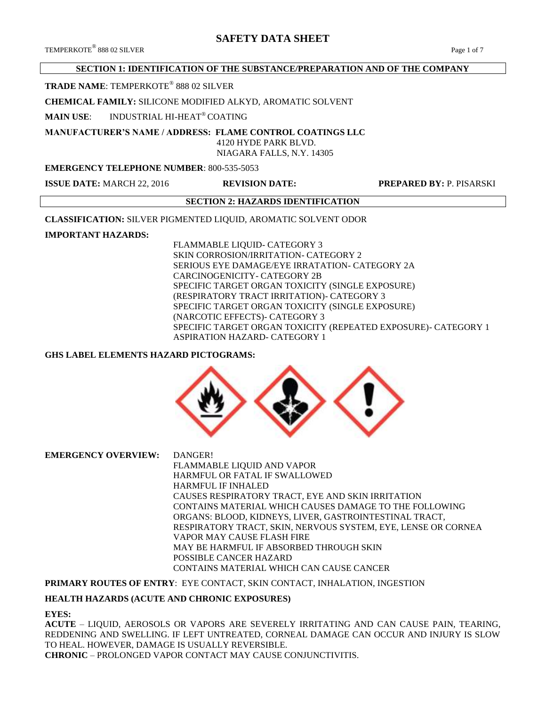# **SAFETY DATA SHEET**

## **SECTION 1: IDENTIFICATION OF THE SUBSTANCE/PREPARATION AND OF THE COMPANY**

## **TRADE NAME**: TEMPERKOTE® 888 02 SILVER

#### **CHEMICAL FAMILY:** SILICONE MODIFIED ALKYD, AROMATIC SOLVENT

## **MAIN USE**: INDUSTRIAL HI-HEAT® COATING

# **MANUFACTURER'S NAME / ADDRESS: FLAME CONTROL COATINGS LLC**

 4120 HYDE PARK BLVD. NIAGARA FALLS, N.Y. 14305

### **EMERGENCY TELEPHONE NUMBER**: 800-535-5053

**ISSUE DATE:** MARCH 22, 2016 **REVISION DATE: PREPARED BY:** P. PISARSKI

## **SECTION 2: HAZARDS IDENTIFICATION**

**CLASSIFICATION:** SILVER PIGMENTED LIQUID, AROMATIC SOLVENT ODOR

## **IMPORTANT HAZARDS:**

FLAMMABLE LIQUID- CATEGORY 3 SKIN CORROSION/IRRITATION- CATEGORY 2 SERIOUS EYE DAMAGE/EYE IRRATATION- CATEGORY 2A CARCINOGENICITY- CATEGORY 2B SPECIFIC TARGET ORGAN TOXICITY (SINGLE EXPOSURE) (RESPIRATORY TRACT IRRITATION)- CATEGORY 3 SPECIFIC TARGET ORGAN TOXICITY (SINGLE EXPOSURE) (NARCOTIC EFFECTS)- CATEGORY 3 SPECIFIC TARGET ORGAN TOXICITY (REPEATED EXPOSURE)- CATEGORY 1 ASPIRATION HAZARD- CATEGORY 1

## **GHS LABEL ELEMENTS HAZARD PICTOGRAMS:**



**EMERGENCY OVERVIEW:** DANGER! FLAMMABLE LIQUID AND VAPOR HARMFUL OR FATAL IF SWALLOWED HARMFUL IF INHALED CAUSES RESPIRATORY TRACT, EYE AND SKIN IRRITATION CONTAINS MATERIAL WHICH CAUSES DAMAGE TO THE FOLLOWING ORGANS: BLOOD, KIDNEYS, LIVER, GASTROINTESTINAL TRACT, RESPIRATORY TRACT, SKIN, NERVOUS SYSTEM, EYE, LENSE OR CORNEA VAPOR MAY CAUSE FLASH FIRE MAY BE HARMFUL IF ABSORBED THROUGH SKIN POSSIBLE CANCER HAZARD CONTAINS MATERIAL WHICH CAN CAUSE CANCER

## **PRIMARY ROUTES OF ENTRY**: EYE CONTACT, SKIN CONTACT, INHALATION, INGESTION

## **HEALTH HAZARDS (ACUTE AND CHRONIC EXPOSURES)**

#### **EYES:**

**ACUTE** – LIQUID, AEROSOLS OR VAPORS ARE SEVERELY IRRITATING AND CAN CAUSE PAIN, TEARING, REDDENING AND SWELLING. IF LEFT UNTREATED, CORNEAL DAMAGE CAN OCCUR AND INJURY IS SLOW TO HEAL. HOWEVER, DAMAGE IS USUALLY REVERSIBLE. **CHRONIC** – PROLONGED VAPOR CONTACT MAY CAUSE CONJUNCTIVITIS.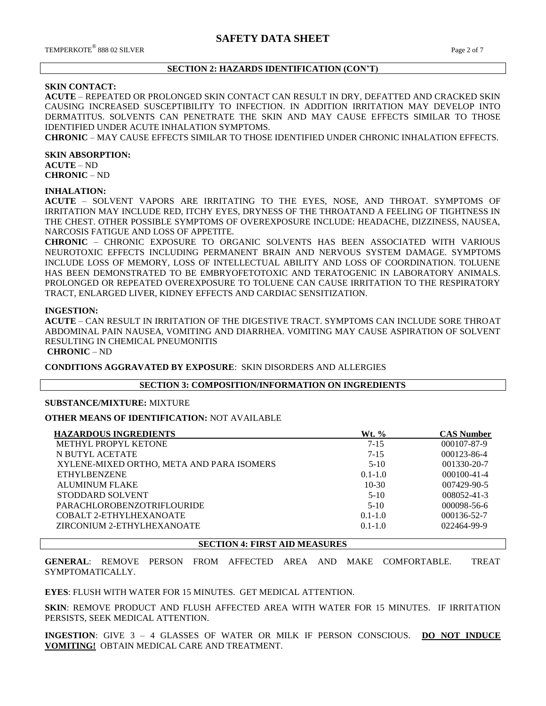### **SECTION 2: HAZARDS IDENTIFICATION (CON'T)**

### **SKIN CONTACT:**

**ACUTE** – REPEATED OR PROLONGED SKIN CONTACT CAN RESULT IN DRY, DEFATTED AND CRACKED SKIN CAUSING INCREASED SUSCEPTIBILITY TO INFECTION. IN ADDITION IRRITATION MAY DEVELOP INTO DERMATITUS. SOLVENTS CAN PENETRATE THE SKIN AND MAY CAUSE EFFECTS SIMILAR TO THOSE IDENTIFIED UNDER ACUTE INHALATION SYMPTOMS.

**CHRONIC** – MAY CAUSE EFFECTS SIMILAR TO THOSE IDENTIFIED UNDER CHRONIC INHALATION EFFECTS.

#### **SKIN ABSORPTION:**

**ACUTE** – ND **CHRONIC** – ND

#### **INHALATION:**

**ACUTE** – SOLVENT VAPORS ARE IRRITATING TO THE EYES, NOSE, AND THROAT. SYMPTOMS OF IRRITATION MAY INCLUDE RED, ITCHY EYES, DRYNESS OF THE THROATAND A FEELING OF TIGHTNESS IN THE CHEST. OTHER POSSIBLE SYMPTOMS OF OVEREXPOSURE INCLUDE: HEADACHE, DIZZINESS, NAUSEA, NARCOSIS FATIGUE AND LOSS OF APPETITE.

**CHRONIC** – CHRONIC EXPOSURE TO ORGANIC SOLVENTS HAS BEEN ASSOCIATED WITH VARIOUS NEUROTOXIC EFFECTS INCLUDING PERMANENT BRAIN AND NERVOUS SYSTEM DAMAGE. SYMPTOMS INCLUDE LOSS OF MEMORY, LOSS OF INTELLECTUAL ABILITY AND LOSS OF COORDINATION. TOLUENE HAS BEEN DEMONSTRATED TO BE EMBRYOFETOTOXIC AND TERATOGENIC IN LABORATORY ANIMALS. PROLONGED OR REPEATED OVEREXPOSURE TO TOLUENE CAN CAUSE IRRITATION TO THE RESPIRATORY TRACT, ENLARGED LIVER, KIDNEY EFFECTS AND CARDIAC SENSITIZATION.

#### **INGESTION:**

**ACUTE** – CAN RESULT IN IRRITATION OF THE DIGESTIVE TRACT. SYMPTOMS CAN INCLUDE SORE THROAT ABDOMINAL PAIN NAUSEA, VOMITING AND DIARRHEA. VOMITING MAY CAUSE ASPIRATION OF SOLVENT RESULTING IN CHEMICAL PNEUMONITIS

**CHRONIC** – ND

**CONDITIONS AGGRAVATED BY EXPOSURE**: SKIN DISORDERS AND ALLERGIES

#### **SECTION 3: COMPOSITION/INFORMATION ON INGREDIENTS**

#### **SUBSTANCE/MIXTURE:** MIXTURE

**OTHER MEANS OF IDENTIFICATION:** NOT AVAILABLE

| <b>HAZARDOUS INGREDIENTS</b>              | <b>Wt.</b> % | <b>CAS Number</b> |
|-------------------------------------------|--------------|-------------------|
| <b>METHYL PROPYL KETONE</b>               | $7 - 15$     | 000107-87-9       |
| N BUTYL ACETATE                           | $7 - 15$     | 000123-86-4       |
| XYLENE-MIXED ORTHO, META AND PARA ISOMERS | $5-10$       | $001330 - 20 - 7$ |
| ETHYLBENZENE                              | $0.1 - 1.0$  | $000100 - 41 - 4$ |
| <b>ALUMINUM FLAKE</b>                     | $10-30$      | 007429-90-5       |
| STODDARD SOLVENT                          | $5-10$       | 008052-41-3       |
| <b>PARACHLOROBENZOTRIFLOURIDE</b>         | $5-10$       | $000098 - 56 - 6$ |
| COBALT 2-ETHYLHEXANOATE                   | $0.1 - 1.0$  | 000136-52-7       |
| ZIRCONIUM 2-ETHYLHEXANOATE                | $0.1 - 1.0$  | 022464-99-9       |
|                                           |              |                   |

#### **SECTION 4: FIRST AID MEASURES**

**GENERAL**: REMOVE PERSON FROM AFFECTED AREA AND MAKE COMFORTABLE. TREAT SYMPTOMATICALLY.

**EYES**: FLUSH WITH WATER FOR 15 MINUTES. GET MEDICAL ATTENTION.

**SKIN**: REMOVE PRODUCT AND FLUSH AFFECTED AREA WITH WATER FOR 15 MINUTES. IF IRRITATION PERSISTS, SEEK MEDICAL ATTENTION.

**INGESTION**: GIVE 3 – 4 GLASSES OF WATER OR MILK IF PERSON CONSCIOUS. **DO NOT INDUCE VOMITING!** OBTAIN MEDICAL CARE AND TREATMENT.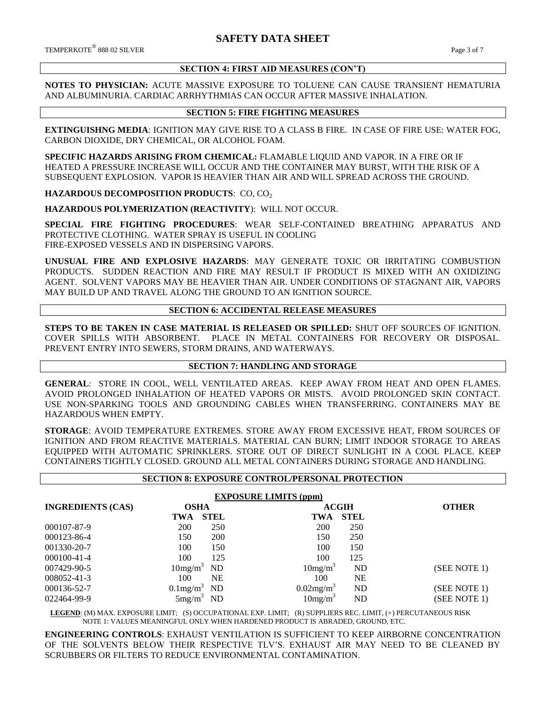$\rm{TEMPERKOTE}^{\circledR}$  888 02 SILVER  $\rm{Page\ 3}$  of  $7$ 

#### **SECTION 4: FIRST AID MEASURES (CON'T)**

**NOTES TO PHYSICIAN:** ACUTE MASSIVE EXPOSURE TO TOLUENE CAN CAUSE TRANSIENT HEMATURIA AND ALBUMINURIA. CARDIAC ARRHYTHMIAS CAN OCCUR AFTER MASSIVE INHALATION.

### **SECTION 5: FIRE FIGHTING MEASURES**

**EXTINGUISHNG MEDIA**: IGNITION MAY GIVE RISE TO A CLASS B FIRE. IN CASE OF FIRE USE: WATER FOG, CARBON DIOXIDE, DRY CHEMICAL, OR ALCOHOL FOAM.

**SPECIFIC HAZARDS ARISING FROM CHEMICAL:** FLAMABLE LIQUID AND VAPOR. IN A FIRE OR IF HEATED A PRESSURE INCREASE WILL OCCUR AND THE CONTAINER MAY BURST, WITH THE RISK OF A SUBSEQUENT EXPLOSION. VAPOR IS HEAVIER THAN AIR AND WILL SPREAD ACROSS THE GROUND.

**HAZARDOUS DECOMPOSITION PRODUCTS: CO, CO<sub>2</sub>** 

**HAZARDOUS POLYMERIZATION (REACTIVITY**): WILL NOT OCCUR.

**SPECIAL FIRE FIGHTING PROCEDURES**: WEAR SELF-CONTAINED BREATHING APPARATUS AND PROTECTIVE CLOTHING. WATER SPRAY IS USEFUL IN COOLING FIRE-EXPOSED VESSELS AND IN DISPERSING VAPORS.

**UNUSUAL FIRE AND EXPLOSIVE HAZARDS**: MAY GENERATE TOXIC OR IRRITATING COMBUSTION PRODUCTS. SUDDEN REACTION AND FIRE MAY RESULT IF PRODUCT IS MIXED WITH AN OXIDIZING AGENT. SOLVENT VAPORS MAY BE HEAVIER THAN AIR. UNDER CONDITIONS OF STAGNANT AIR, VAPORS MAY BUILD UP AND TRAVEL ALONG THE GROUND TO AN IGNITION SOURCE.

#### **SECTION 6: ACCIDENTAL RELEASE MEASURES**

**STEPS TO BE TAKEN IN CASE MATERIAL IS RELEASED OR SPILLED:** SHUT OFF SOURCES OF IGNITION. COVER SPILLS WITH ABSORBENT. PLACE IN METAL CONTAINERS FOR RECOVERY OR DISPOSAL. PREVENT ENTRY INTO SEWERS, STORM DRAINS, AND WATERWAYS.

## **SECTION 7: HANDLING AND STORAGE**

**GENERAL**: STORE IN COOL, WELL VENTILATED AREAS. KEEP AWAY FROM HEAT AND OPEN FLAMES. AVOID PROLONGED INHALATION OF HEATED VAPORS OR MISTS. AVOID PROLONGED SKIN CONTACT. USE NON-SPARKING TOOLS AND GROUNDING CABLES WHEN TRANSFERRING. CONTAINERS MAY BE HAZARDOUS WHEN EMPTY.

**STORAGE**: AVOID TEMPERATURE EXTREMES. STORE AWAY FROM EXCESSIVE HEAT, FROM SOURCES OF IGNITION AND FROM REACTIVE MATERIALS. MATERIAL CAN BURN; LIMIT INDOOR STORAGE TO AREAS EQUIPPED WITH AUTOMATIC SPRINKLERS. STORE OUT OF DIRECT SUNLIGHT IN A COOL PLACE. KEEP CONTAINERS TIGHTLY CLOSED. GROUND ALL METAL CONTAINERS DURING STORAGE AND HANDLING.

|                          | <b>SECTION 8: EXPOSURE CONTROL/PERSONAL PROTECTION</b> |             |                          |              |              |  |
|--------------------------|--------------------------------------------------------|-------------|--------------------------|--------------|--------------|--|
|                          | <b>EXPOSURE LIMITS (ppm)</b>                           |             |                          |              |              |  |
| <b>INGREDIENTS (CAS)</b> | <b>OSHA</b>                                            |             |                          | <b>ACGIH</b> | <b>OTHER</b> |  |
|                          | <b>TWA</b>                                             | <b>STEL</b> | <b>TWA</b>               | <b>STEL</b>  |              |  |
| 000107-87-9              | 200                                                    | 250         | 200                      | 250          |              |  |
| 000123-86-4              | 150                                                    | 200         | 150                      | 250          |              |  |
| 001330-20-7              | 100                                                    | 150         | 100                      | 150          |              |  |
| 000100-41-4              | 100                                                    | 125         | 100                      | 125          |              |  |
| 007429-90-5              | $10$ mg/m <sup>3</sup>                                 | ND          | 10mg/m <sup>3</sup>      | <b>ND</b>    | (SEE NOTE 1) |  |
| 008052-41-3              | 100                                                    | <b>NE</b>   | 100                      | <b>NE</b>    |              |  |
| 000136-52-7              | $0.1$ mg/m <sup>3</sup>                                | ND          | $0.02$ mg/m <sup>3</sup> | <b>ND</b>    | (SEE NOTE 1) |  |
| 022464-99-9              | $5mg/m^3$                                              | ND          | 10mg/m <sup>3</sup>      | ND           | (SEE NOTE 1) |  |

 **LEGEND**: (M) MAX. EXPOSURE LIMIT; (S) OCCUPATIONAL EXP. LIMIT; (R) SUPPLIERS REC. LIMIT, (+) PERCUTANEOUS RISK NOTE 1: VALUES MEANINGFUL ONLY WHEN HARDENED PRODUCT IS ABRADED, GROUND, ETC.

**ENGINEERING CONTROLS**: EXHAUST VENTILATION IS SUFFICIENT TO KEEP AIRBORNE CONCENTRATION OF THE SOLVENTS BELOW THEIR RESPECTIVE TLV'S. EXHAUST AIR MAY NEED TO BE CLEANED BY SCRUBBERS OR FILTERS TO REDUCE ENVIRONMENTAL CONTAMINATION.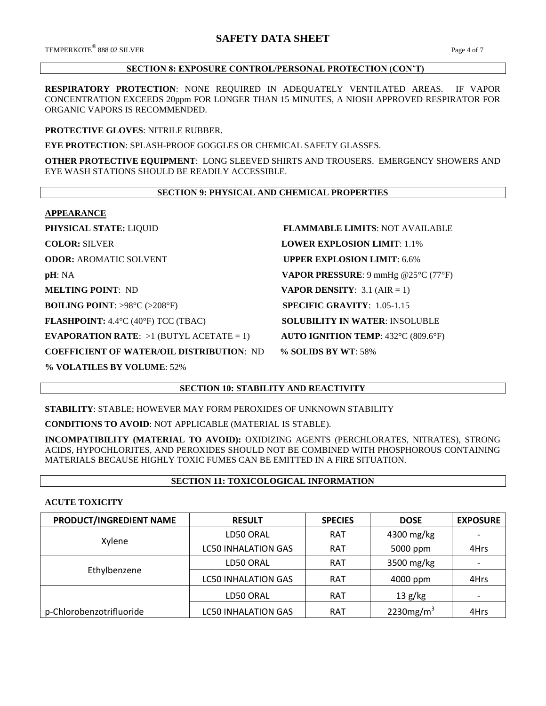$\rm{TEMPERKOTE}^{\circledR}$  888 02 SILVER  $\rm{Page\,4}$  of  $7$ 

## **SECTION 8: EXPOSURE CONTROL/PERSONAL PROTECTION (CON'T)**

**RESPIRATORY PROTECTION**: NONE REQUIRED IN ADEQUATELY VENTILATED AREAS. IF VAPOR CONCENTRATION EXCEEDS 20ppm FOR LONGER THAN 15 MINUTES, A NIOSH APPROVED RESPIRATOR FOR ORGANIC VAPORS IS RECOMMENDED.

## **PROTECTIVE GLOVES**: NITRILE RUBBER.

**EYE PROTECTION**: SPLASH-PROOF GOGGLES OR CHEMICAL SAFETY GLASSES.

**OTHER PROTECTIVE EQUIPMENT**: LONG SLEEVED SHIRTS AND TROUSERS. EMERGENCY SHOWERS AND EYE WASH STATIONS SHOULD BE READILY ACCESSIBLE.

## **SECTION 9: PHYSICAL AND CHEMICAL PROPERTIES**

#### **APPEARANCE**

| PHYSICAL STATE: LIQUID                                      | <b>FLAMMABLE LIMITS: NOT AVAILABLE</b>       |
|-------------------------------------------------------------|----------------------------------------------|
| <b>COLOR: SILVER</b>                                        | <b>LOWER EXPLOSION LIMIT: 1.1%</b>           |
| <b>ODOR: AROMATIC SOLVENT</b>                               | <b>UPPER EXPLOSION LIMIT: 6.6%</b>           |
| pH: NA                                                      | <b>VAPOR PRESSURE:</b> 9 mmHg $@25°C$ (77°F) |
| <b>MELTING POINT: ND</b>                                    | <b>VAPOR DENSITY:</b> 3.1 (AIR = 1)          |
| <b>BOILING POINT</b> : >98 $^{\circ}$ C (>208 $^{\circ}$ F) | <b>SPECIFIC GRAVITY:</b> $1.05 - 1.15$       |
| <b>FLASHPOINT:</b> $4.4^{\circ}C$ (40°F) TCC (TBAC)         | <b>SOLUBILITY IN WATER: INSOLUBLE</b>        |
| <b>EVAPORATION RATE:</b> $>1$ (BUTYL ACETATE = 1)           | <b>AUTO IGNITION TEMP: 432°C (809.6°F)</b>   |
| <b>COEFFICIENT OF WATER/OIL DISTRIBUTION: ND</b>            | % SOLIDS BY WT: 58%                          |

**% VOLATILES BY VOLUME**: 52%

# **SECTION 10: STABILITY AND REACTIVITY**

**STABILITY**: STABLE; HOWEVER MAY FORM PEROXIDES OF UNKNOWN STABILITY

**CONDITIONS TO AVOID**: NOT APPLICABLE (MATERIAL IS STABLE).

**INCOMPATIBILITY (MATERIAL TO AVOID):** OXIDIZING AGENTS (PERCHLORATES, NITRATES), STRONG ACIDS, HYPOCHLORITES, AND PEROXIDES SHOULD NOT BE COMBINED WITH PHOSPHOROUS CONTAINING MATERIALS BECAUSE HIGHLY TOXIC FUMES CAN BE EMITTED IN A FIRE SITUATION.

# **SECTION 11: TOXICOLOGICAL INFORMATION**

## **ACUTE TOXICITY**

| PRODUCT/INGREDIENT NAME  | <b>RESULT</b>              | <b>SPECIES</b> | <b>DOSE</b>  | <b>EXPOSURE</b>          |
|--------------------------|----------------------------|----------------|--------------|--------------------------|
|                          | LD50 ORAL<br><b>RAT</b>    |                | 4300 mg/kg   | $\overline{\phantom{a}}$ |
| Xylene                   | <b>LC50 INHALATION GAS</b> | <b>RAT</b>     | 5000 ppm     | 4Hrs                     |
|                          | LD50 ORAL                  | <b>RAT</b>     | 3500 mg/kg   | $\overline{\phantom{0}}$ |
| Ethylbenzene             | <b>LC50 INHALATION GAS</b> | <b>RAT</b>     | 4000 ppm     | 4Hrs                     |
|                          | LD50 ORAL                  | <b>RAT</b>     | 13 g/kg      |                          |
| p-Chlorobenzotrifluoride | <b>LC50 INHALATION GAS</b> | <b>RAT</b>     | 2230 $mg/m3$ | 4Hrs                     |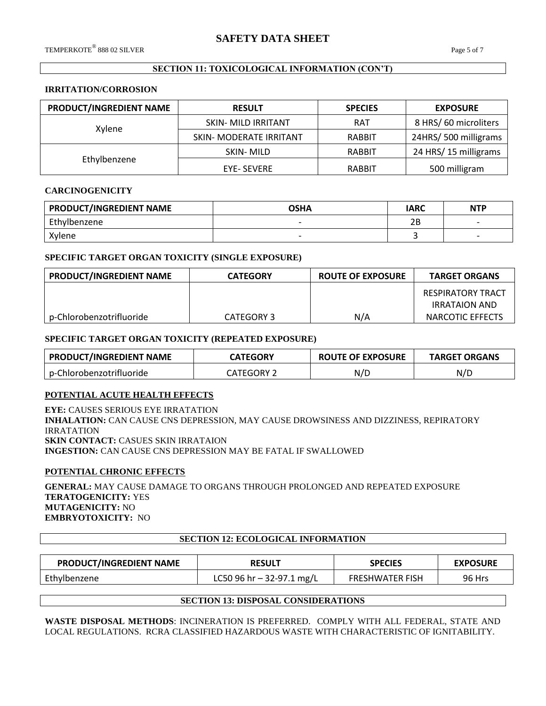## **SECTION 11: TOXICOLOGICAL INFORMATION (CON'T)**

#### **IRRITATION/CORROSION**

| PRODUCT/INGREDIENT NAME | <b>RESULT</b>              | <b>SPECIES</b> | <b>EXPOSURE</b>      |
|-------------------------|----------------------------|----------------|----------------------|
| Xylene                  | <b>SKIN- MILD IRRITANT</b> | <b>RAT</b>     | 8 HRS/60 microliters |
|                         | SKIN- MODERATE IRRITANT    | <b>RABBIT</b>  | 24HRS/500 milligrams |
|                         | SKIN-MILD                  | RABBIT         | 24 HRS/15 milligrams |
| Ethylbenzene            | <b>EYE- SEVERE</b>         | RABBIT         | 500 milligram        |

#### **CARCINOGENICITY**

| <b>PRODUCT/INGREDIENT NAME</b> | <b>OSHA</b>              | IARC | <b>NTP</b>               |
|--------------------------------|--------------------------|------|--------------------------|
| Ethylbenzene                   | $\overline{\phantom{0}}$ | 2B   | $\overline{\phantom{0}}$ |
| Xylene                         | $\overline{\phantom{0}}$ |      |                          |

#### **SPECIFIC TARGET ORGAN TOXICITY (SINGLE EXPOSURE)**

| PRODUCT/INGREDIENT NAME  | <b>CATEGORY</b> | <b>ROUTE OF EXPOSURE</b> | <b>TARGET ORGANS</b> |
|--------------------------|-----------------|--------------------------|----------------------|
|                          |                 |                          | RESPIRATORY TRACT    |
|                          |                 |                          | <b>IRRATAION AND</b> |
| p-Chlorobenzotrifluoride | CATEGORY 3      | N/A                      | NARCOTIC EFFECTS     |

#### **SPECIFIC TARGET ORGAN TOXICITY (REPEATED EXPOSURE)**

| <b>PRODUCT/INGREDIENT NAME</b> | <b>CATEGORY</b>   | <b>ROUTE OF EXPOSURE</b> | <b>TARGET ORGANS</b> |
|--------------------------------|-------------------|--------------------------|----------------------|
| p-Chlorobenzotrifluoride       | <b>CATEGORY 2</b> | N/D                      | N/D                  |

## **POTENTIAL ACUTE HEALTH EFFECTS**

**EYE:** CAUSES SERIOUS EYE IRRATATION **INHALATION:** CAN CAUSE CNS DEPRESSION, MAY CAUSE DROWSINESS AND DIZZINESS, REPIRATORY IRRATATION **SKIN CONTACT:** CASUES SKIN IRRATAION **INGESTION:** CAN CAUSE CNS DEPRESSION MAY BE FATAL IF SWALLOWED

#### **POTENTIAL CHRONIC EFFECTS**

**GENERAL:** MAY CAUSE DAMAGE TO ORGANS THROUGH PROLONGED AND REPEATED EXPOSURE **TERATOGENICITY:** YES **MUTAGENICITY:** NO **EMBRYOTOXICITY:** NO

#### **SECTION 12: ECOLOGICAL INFORMATION**

| PRODUCT/INGREDIENT NAME | <b>RESULT</b>             | <b>SPECIES</b>         | <b>EXPOSURE</b> |
|-------------------------|---------------------------|------------------------|-----------------|
| Ethylbenzene            | LC50 96 hr – 32-97.1 mg/L | <b>FRESHWATER FISH</b> | <b>96 Hrs</b>   |

#### **SECTION 13: DISPOSAL CONSIDERATIONS**

**WASTE DISPOSAL METHODS**: INCINERATION IS PREFERRED. COMPLY WITH ALL FEDERAL, STATE AND LOCAL REGULATIONS. RCRA CLASSIFIED HAZARDOUS WASTE WITH CHARACTERISTIC OF IGNITABILITY.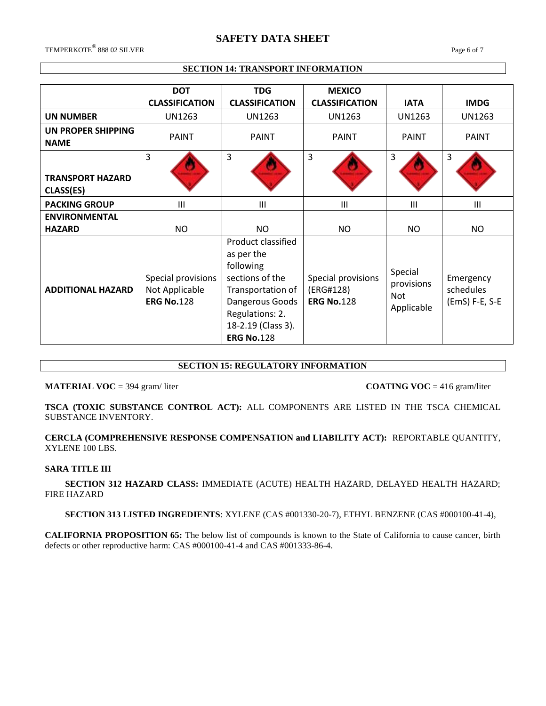# **SAFETY DATA SHEET**

 $\rm{TEMPERKOTE}^{\circledR}$  888 02 SILVER  $\rm{Page}\;6$  of  $7$ 

## **SECTION 14: TRANSPORT INFORMATION**

|                                      | <b>DOT</b><br><b>CLASSIFICATION</b>                       | <b>TDG</b><br><b>CLASSIFICATION</b>                                                                                                                                    | <b>MEXICO</b><br><b>CLASSIFICATION</b>               | <b>IATA</b>                                | <b>IMDG</b>                              |
|--------------------------------------|-----------------------------------------------------------|------------------------------------------------------------------------------------------------------------------------------------------------------------------------|------------------------------------------------------|--------------------------------------------|------------------------------------------|
| <b>UN NUMBER</b>                     | <b>UN1263</b>                                             | UN1263                                                                                                                                                                 | UN1263                                               | <b>UN1263</b>                              | UN1263                                   |
| UN PROPER SHIPPING<br><b>NAME</b>    | <b>PAINT</b>                                              | <b>PAINT</b>                                                                                                                                                           | <b>PAINT</b>                                         | <b>PAINT</b>                               | <b>PAINT</b>                             |
| <b>TRANSPORT HAZARD</b><br>CLASS(ES) | 3                                                         | 3                                                                                                                                                                      | 3                                                    | 3                                          | 3                                        |
| <b>PACKING GROUP</b>                 | $\mathbf{III}$                                            | $\mathbf{III}$                                                                                                                                                         | $\mathbf{III}$                                       | III                                        | Ш                                        |
| <b>ENVIRONMENTAL</b>                 |                                                           |                                                                                                                                                                        |                                                      |                                            |                                          |
| <b>HAZARD</b>                        | <b>NO</b>                                                 | NO.                                                                                                                                                                    | <b>NO</b>                                            | NO.                                        | NO                                       |
| <b>ADDITIONAL HAZARD</b>             | Special provisions<br>Not Applicable<br><b>ERG No.128</b> | Product classified<br>as per the<br>following<br>sections of the<br>Transportation of<br>Dangerous Goods<br>Regulations: 2.<br>18-2.19 (Class 3).<br><b>ERG No.128</b> | Special provisions<br>(ERG#128)<br><b>ERG No.128</b> | Special<br>provisions<br>Not<br>Applicable | Emergency<br>schedules<br>(EmS) F-E, S-E |

## **SECTION 15: REGULATORY INFORMATION**

**MATERIAL VOC** = 394 gram/ liter **COATING VOC** = 416 gram/liter

**TSCA (TOXIC SUBSTANCE CONTROL ACT):** ALL COMPONENTS ARE LISTED IN THE TSCA CHEMICAL SUBSTANCE INVENTORY.

**CERCLA (COMPREHENSIVE RESPONSE COMPENSATION and LIABILITY ACT):** REPORTABLE QUANTITY, XYLENE 100 LBS.

#### **SARA TITLE III**

 **SECTION 312 HAZARD CLASS:** IMMEDIATE (ACUTE) HEALTH HAZARD, DELAYED HEALTH HAZARD; FIRE HAZARD

 **SECTION 313 LISTED INGREDIENTS**: XYLENE (CAS #001330-20-7), ETHYL BENZENE (CAS #000100-41-4),

**CALIFORNIA PROPOSITION 65:** The below list of compounds is known to the State of California to cause cancer, birth defects or other reproductive harm: CAS #000100-41-4 and CAS #001333-86-4.